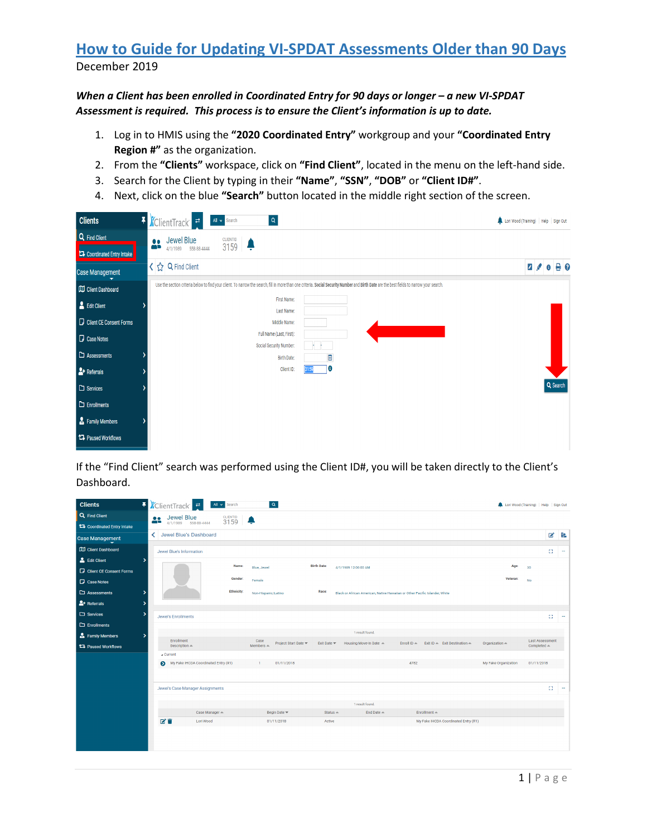*When a Client has been enrolled in Coordinated Entry for 90 days or longer – a new VI-SPDAT Assessment is required. This process is to ensure the Client's information is up to date.* 

- 1. Log in to HMIS using the **"2020 Coordinated Entry"** workgroup and your **"Coordinated Entry Region #"** as the organization.
- 2. From the **"Clients"** workspace, click on **"Find Client"**, located in the menu on the left-hand side.
- 3. Search for the Client by typing in their **"Name"**, **"SSN"**, **"DOB"** or **"Client ID#"**.
- 4. Next, click on the blue **"Search"** button located in the middle right section of the screen.

| <b>Clients</b>             | F <i>K</i> ClientTrack <sup>e</sup><br>$\mathsf Q$<br>All v Search<br>Lori Wood (Training)   Help   Sign Out                                                                               |                         |            |  |
|----------------------------|--------------------------------------------------------------------------------------------------------------------------------------------------------------------------------------------|-------------------------|------------|--|
| Q Find Client              | Jewel Blue<br>4/1/1989 558-88-4444<br><b>CLIENTID</b> 3159<br>$\frac{0.0}{100}$                                                                                                            |                         |            |  |
| Coordinated Entry Intake   |                                                                                                                                                                                            |                         |            |  |
| <b>Case Management</b>     | く☆ Q Find Client                                                                                                                                                                           | $2 \times 0$ $\theta$ 0 |            |  |
| Client Dashboard           | Use the section criteria below to find your client. To narrow the search, fill in more than one criteria. Social Security Number and Birth Date are the best fields to narrow your search. |                         |            |  |
| Edit Client                | First Name:<br>Last Name:                                                                                                                                                                  |                         |            |  |
| Client CE Consent Forms    | Middle Name:                                                                                                                                                                               |                         |            |  |
| <b>D</b> Case Notes        | Full Name (Last, First):                                                                                                                                                                   |                         |            |  |
| $\Box$ Assessments         | Social Security Number:<br>首<br><b>Birth Date:</b>                                                                                                                                         |                         |            |  |
| $2+$ Referrals             | 10<br>Client ID:<br>159                                                                                                                                                                    |                         |            |  |
| $\square$ Services         |                                                                                                                                                                                            |                         | $Q$ Search |  |
| $\Box$ Enrollments         |                                                                                                                                                                                            |                         |            |  |
| Family Members             |                                                                                                                                                                                            |                         |            |  |
| <b>17</b> Paused Workflows |                                                                                                                                                                                            |                         |            |  |

If the "Find Client" search was performed using the Client ID#, you will be taken directly to the Client's Dashboard.

| <b>Clients</b>                     |    |    | F KClientTrack -                      | All v Search      | $\alpha$                    |                      |                                |                                                                             |                       |                                                  | Lori Wood (Training)   Help   Sign Out |                                                 |    |           |
|------------------------------------|----|----|---------------------------------------|-------------------|-----------------------------|----------------------|--------------------------------|-----------------------------------------------------------------------------|-----------------------|--------------------------------------------------|----------------------------------------|-------------------------------------------------|----|-----------|
| Q Find Client                      |    | 23 | Jewel Blue                            | CLIENTID 3159     |                             |                      |                                |                                                                             |                       |                                                  |                                        |                                                 |    |           |
| <b>14</b> Coordinated Entry Intake |    |    | 4/1/1989 558-88-4444                  |                   |                             |                      |                                |                                                                             |                       |                                                  |                                        |                                                 |    |           |
| <b>Case Management</b>             |    |    | < Jewel Blue's Dashboard              |                   |                             |                      |                                |                                                                             |                       |                                                  |                                        |                                                 | B  | <b>IR</b> |
| <b>CDJ</b> Client Dashboard        |    |    | Jewel Blue's Information              |                   |                             |                      |                                |                                                                             |                       |                                                  |                                        |                                                 | Ω  | $\cdots$  |
| Edit Client                        | ٠  |    |                                       |                   |                             |                      | <b>Birth Date:</b>             |                                                                             |                       |                                                  |                                        |                                                 |    |           |
| <b>D</b> Client CE Consent Forms   |    |    |                                       | Name:             | Blue, Jewel                 |                      |                                | 4/1/1989 12:00:00 AM                                                        |                       |                                                  | Age:                                   | 30                                              |    |           |
| <b>Case Notes</b>                  |    |    |                                       | Gender:           | Female                      |                      |                                |                                                                             |                       |                                                  | Veteran:                               | <b>No</b>                                       |    |           |
| $\Box$ Assessments                 | ۰, |    |                                       | <b>Ethnicity:</b> | Non-Hispanic/Latino         |                      | Race:                          | Black or African American, Native Hawaiian or Other Pacific Islander, White |                       |                                                  |                                        |                                                 |    |           |
| $2 +$ Referrals                    | 5  |    |                                       |                   |                             |                      |                                |                                                                             |                       |                                                  |                                        |                                                 |    |           |
| $\square$ Services                 | ۰, |    | <b>Jewel's Enrollments</b>            |                   |                             |                      |                                |                                                                             |                       |                                                  |                                        |                                                 | 63 | $\cdots$  |
| $\Box$ Enrollments                 |    |    |                                       |                   |                             |                      |                                |                                                                             |                       |                                                  |                                        |                                                 |    |           |
| Family Members                     | ۰, |    |                                       |                   |                             |                      |                                | 1 result found.                                                             |                       |                                                  |                                        |                                                 |    |           |
| 17 Paused Workflows                |    |    | Enrollment<br>Description $\triangle$ |                   | Case<br>Members $\triangle$ | Project Start Date ₩ | Exit Date $\blacktriangledown$ | Housing Move-In Date $\triangleq$                                           | Enroll ID $\triangle$ | Exit ID $\triangle$ Exit Destination $\triangle$ | Organization =                         | <b>Last Assessment</b><br>Completed $\triangle$ |    |           |
|                                    |    |    | <b>Current</b>                        |                   |                             |                      |                                |                                                                             |                       |                                                  |                                        |                                                 |    |           |
|                                    |    |    | My Fake IHCDA Coordinated Entry (R1)  |                   | 01/11/2018<br>$\mathbf{1}$  |                      |                                |                                                                             | 4782                  |                                                  | My Fake Organization                   | 01/11/2018                                      |    |           |
|                                    |    |    |                                       |                   |                             |                      |                                |                                                                             |                       |                                                  |                                        |                                                 |    |           |
|                                    |    |    | Jewel's Case Manager Assignments      |                   |                             |                      |                                |                                                                             |                       |                                                  |                                        |                                                 | 83 | $\cdots$  |
|                                    |    |    |                                       |                   |                             |                      |                                | 1 result found.                                                             |                       |                                                  |                                        |                                                 |    |           |
|                                    |    |    | Case Manager                          |                   | Begin Date =                |                      | $Status -$                     | End Date $\triangle$                                                        |                       | Enrollment $\triangle$                           |                                        |                                                 |    |           |
|                                    |    |    | 区盲<br>Lori Wood                       |                   | 01/11/2018                  |                      | Active                         |                                                                             |                       | My Fake IHCDA Coordinated Entry (R1)             |                                        |                                                 |    |           |
|                                    |    |    |                                       |                   |                             |                      |                                |                                                                             |                       |                                                  |                                        |                                                 |    |           |
|                                    |    |    |                                       |                   |                             |                      |                                |                                                                             |                       |                                                  |                                        |                                                 |    |           |
|                                    |    |    |                                       |                   |                             |                      |                                |                                                                             |                       |                                                  |                                        |                                                 |    |           |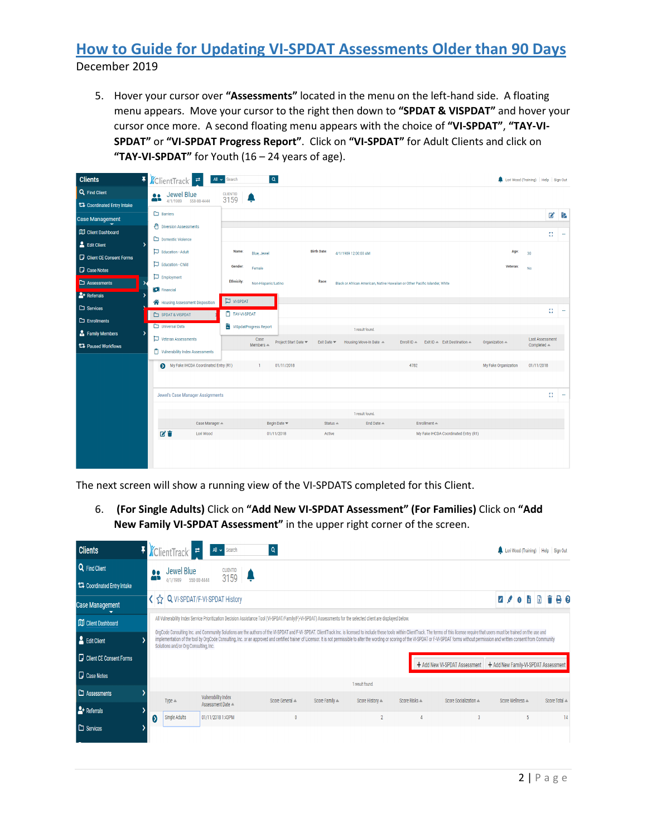5. Hover your cursor over **"Assessments"** located in the menu on the left-hand side. A floating menu appears. Move your cursor to the right then down to **"SPDAT & VISPDAT"** and hover your cursor once more. A second floating menu appears with the choice of **"VI-SPDAT"**, **"TAY-VI-SPDAT"** or **"VI-SPDAT Progress Report"**. Click on **"VI-SPDAT"** for Adult Clients and click on **"TAY-VI-SPDAT"** for Youth (16 – 24 years of age).

| <b>Clients</b>                   | 휘               | <i><b>K</b></i> ClientTrack <sup>1</sup> | $\boxed{\alpha}$<br>All v Search                                                                                                            | Lori Wood (Training)   Help   Sign Out |                                                 |    |          |
|----------------------------------|-----------------|------------------------------------------|---------------------------------------------------------------------------------------------------------------------------------------------|----------------------------------------|-------------------------------------------------|----|----------|
| Q Find Client                    |                 | Jewel Blue<br>$\bullet\bullet$           | <b>CLIENTID</b> 3159                                                                                                                        |                                        |                                                 |    |          |
| 17 Coordinated Entry Intake      |                 | œr<br>4/1/1989 558-88-4444               |                                                                                                                                             |                                        |                                                 |    |          |
| <b>Case Management</b>           |                 | $\Box$ Barriers                          |                                                                                                                                             |                                        |                                                 |    | ■■       |
| <b>CO</b> Client Dashboard       |                 | Diversion Assessments                    |                                                                                                                                             |                                        |                                                 | 8  | $\cdots$ |
| Edit Client                      |                 | Domestic Violence                        |                                                                                                                                             |                                        |                                                 |    |          |
| <b>D</b> Client CE Consent Forms |                 | Education - Adult                        | <b>Birth Date:</b><br>Name:<br>4/1/1989 12:00:00 AM<br>Blue, Jewel                                                                          | Age:                                   | 30                                              |    |          |
| <b>D</b> Case Notes              |                 | Education - Child                        | Gender:<br>Female                                                                                                                           | Veteran:                               | No                                              |    |          |
| $\Box$ Assessments               |                 | $\Box$ Employment                        | <b>Ethnicity:</b><br>Race:<br>Non-Hispanic/Latino<br>Black or African American, Native Hawaiian or Other Pacific Islander, White            |                                        |                                                 |    |          |
| $2 +$ Referrals                  |                 | <b>CE</b> Financial                      |                                                                                                                                             |                                        |                                                 |    |          |
| $\square$ Services               |                 | Housing Assessment Disposition           | $\nabla$ VI-SPDAT                                                                                                                           |                                        |                                                 | Ω. | $\cdots$ |
| $\Box$ Enrollments               |                 | SPDAT & VISPDAT                          | TAY-VI-SPDAT                                                                                                                                |                                        |                                                 |    |          |
| Family Members                   |                 | Universal Data                           | ViSpdatProgress Report<br>1 result found.                                                                                                   |                                        |                                                 |    |          |
| <b>17 Paused Workflows</b>       |                 | $\Box$ Veteran Assessments               | Case<br>Project Start Date<br>Exit Date<br>Housing Move-In Date A<br>Enroll ID $\triangle$<br>Exit ID - Exit Destination -<br>$Members$ $=$ | Organization $\triangle$               | <b>Last Assessment</b><br>Completed $\triangle$ |    |          |
|                                  |                 | The Vulnerability Index Assessments      |                                                                                                                                             |                                        |                                                 |    |          |
|                                  |                 | My Fake IHCDA Coordinated Entry (R1)     | $\mathbf{1}$<br>01/11/2018<br>4782                                                                                                          | My Fake Organization                   | 01/11/2018                                      |    |          |
|                                  |                 |                                          |                                                                                                                                             |                                        |                                                 |    |          |
|                                  |                 | Jewel's Case Manager Assignments         |                                                                                                                                             |                                        |                                                 | Đ. | $\sim$   |
|                                  |                 |                                          |                                                                                                                                             |                                        |                                                 |    |          |
|                                  |                 | Case Manager                             | 1 result found.<br>Status $=$<br>End Date $\triangle$<br>Enrollment $\triangle$<br>Begin Date $\blacktriangledown$                          |                                        |                                                 |    |          |
|                                  | び育<br>Lori Wood |                                          | My Fake IHCDA Coordinated Entry (R1)<br>01/11/2018<br>Active                                                                                |                                        |                                                 |    |          |
|                                  |                 |                                          |                                                                                                                                             |                                        |                                                 |    |          |
|                                  |                 |                                          |                                                                                                                                             |                                        |                                                 |    |          |
|                                  |                 |                                          |                                                                                                                                             |                                        |                                                 |    |          |

The next screen will show a running view of the VI-SPDATS completed for this Client.

6. **(For Single Adults)** Click on **"Add New VI-SPDAT Assessment" (For Families)** Click on **"Add New Family VI-SPDAT Assessment"** in the upper right corner of the screen.